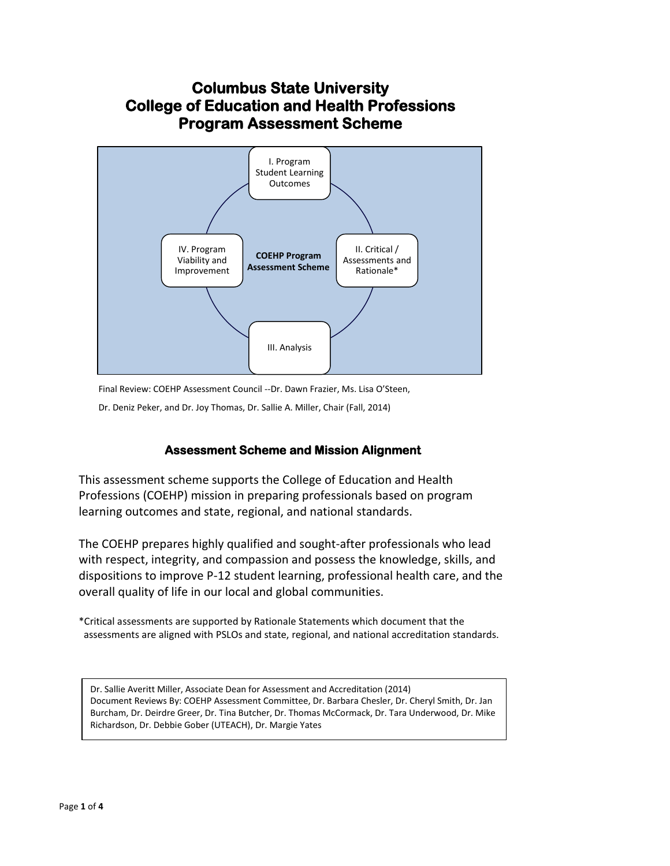

Final Review: COEHP Assessment Council --Dr. Dawn Frazier, Ms. Lisa O'Steen,

Dr. Deniz Peker, and Dr. Joy Thomas, Dr. Sallie A. Miller, Chair (Fall, 2014)

### **Assessment Scheme and Mission Alignment**

This assessment scheme supports the College of Education and Health Professions (COEHP) mission in preparing professionals based on program learning outcomes and state, regional, and national standards.

The COEHP prepares highly qualified and sought-after professionals who lead with respect, integrity, and compassion and possess the knowledge, skills, and dispositions to improve P-12 student learning, professional health care, and the overall quality of life in our local and global communities.

\*Critical assessments are supported by Rationale Statements which document that the assessments are aligned with PSLOs and state, regional, and national accreditation standards.

Dr. Sallie Averitt Miller, Associate Dean for Assessment and Accreditation (2014) Document Reviews By: COEHP Assessment Committee, Dr. Barbara Chesler, Dr. Cheryl Smith, Dr. Jan Burcham, Dr. Deirdre Greer, Dr. Tina Butcher, Dr. Thomas McCormack, Dr. Tara Underwood, Dr. Mike Richardson, Dr. Debbie Gober (UTEACH), Dr. Margie Yates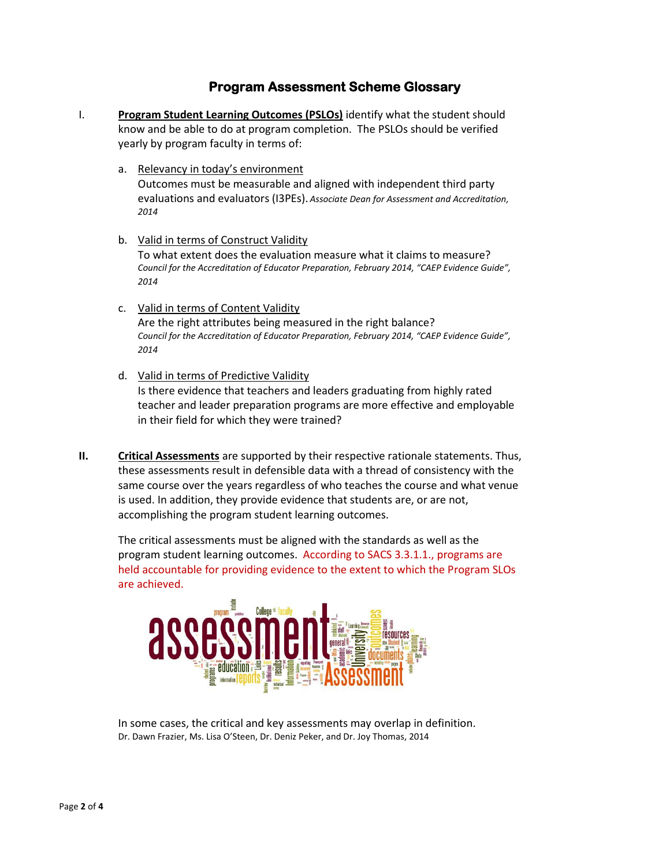## **Program Assessment Scheme Glossary**

- I. **Program Student Learning Outcomes (PSLOs)** identify what the student should know and be able to do at program completion. The PSLOs should be verified yearly by program faculty in terms of:
	- a. Relevancy in today's environment Outcomes must be measurable and aligned with independent third party evaluations and evaluators (I3PEs). *Associate Dean for Assessment and Accreditation, 2014*
	- b. Valid in terms of Construct Validity To what extent does the evaluation measure what it claims to measure? *Council for the Accreditation of Educator Preparation, February 2014, "CAEP Evidence Guide", 2014*
	- c. Valid in terms of Content Validity Are the right attributes being measured in the right balance? *Council for the Accreditation of Educator Preparation, February 2014, "CAEP Evidence Guide", 2014*
	- d. Valid in terms of Predictive Validity Is there evidence that teachers and leaders graduating from highly rated teacher and leader preparation programs are more effective and employable in their field for which they were trained?
- **II. Critical Assessments** are supported by their respective rationale statements. Thus, these assessments result in defensible data with a thread of consistency with the same course over the years regardless of who teaches the course and what venue is used. In addition, they provide evidence that students are, or are not, accomplishing the program student learning outcomes.

The critical assessments must be aligned with the standards as well as the program student learning outcomes. According to SACS 3.3.1.1., programs are held accountable for providing evidence to the extent to which the Program SLOs are achieved.



In some cases, the critical and key assessments may overlap in definition. Dr. Dawn Frazier, Ms. Lisa O'Steen, Dr. Deniz Peker, and Dr. Joy Thomas, 2014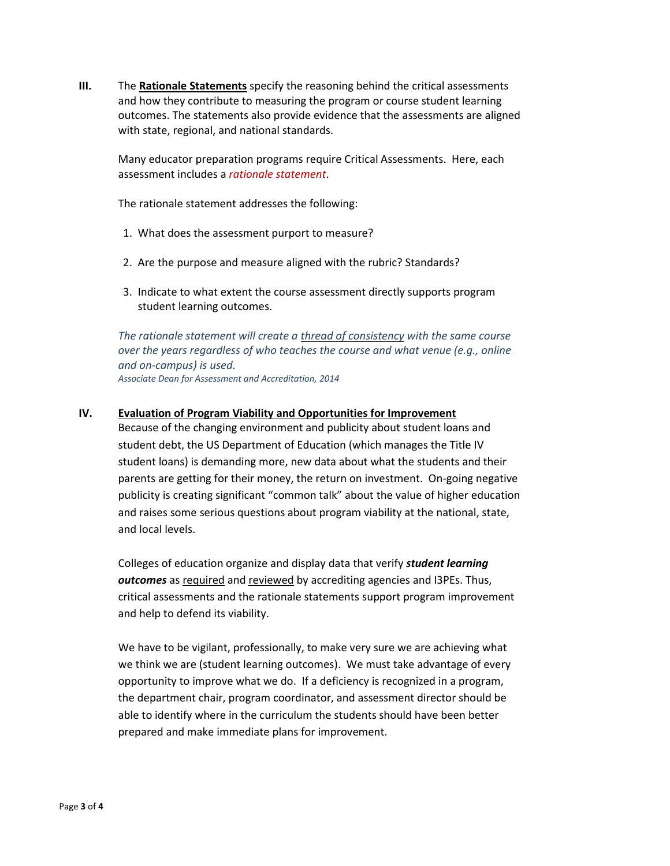**III.** The **Rationale Statements** specify the reasoning behind the critical assessments and how they contribute to measuring the program or course student learning outcomes. The statements also provide evidence that the assessments are aligned with state, regional, and national standards.

Many educator preparation programs require Critical Assessments. Here, each assessment includes a *rationale statement*.

The rationale statement addresses the following:

- 1. What does the assessment purport to measure?
- 2. Are the purpose and measure aligned with the rubric? Standards?
- 3. Indicate to what extent the course assessment directly supports program student learning outcomes.

*The rationale statement will create a thread of consistency with the same course over the years regardless of who teaches the course and what venue (e.g., online and on-campus) is used. Associate Dean for Assessment and Accreditation, 2014*

#### **IV. Evaluation of Program Viability and Opportunities for Improvement**

Because of the changing environment and publicity about student loans and student debt, the US Department of Education (which manages the Title IV student loans) is demanding more, new data about what the students and their parents are getting for their money, the return on investment. On-going negative publicity is creating significant "common talk" about the value of higher education and raises some serious questions about program viability at the national, state, and local levels.

Colleges of education organize and display data that verify *student learning outcomes* as required and reviewed by accrediting agencies and I3PEs. Thus, critical assessments and the rationale statements support program improvement and help to defend its viability.

We have to be vigilant, professionally, to make very sure we are achieving what we think we are (student learning outcomes). We must take advantage of every opportunity to improve what we do. If a deficiency is recognized in a program, the department chair, program coordinator, and assessment director should be able to identify where in the curriculum the students should have been better prepared and make immediate plans for improvement.